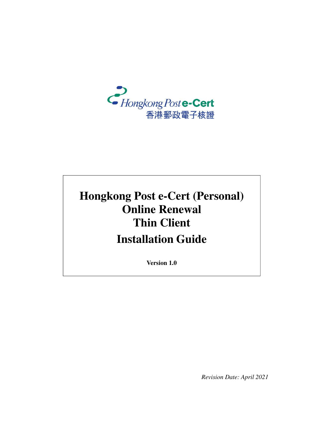

# **Hongkong Post e-Cert (Personal) Online Renewal Thin Client Installation Guide**

**Version 1.0**

*Revision Date: April 2021*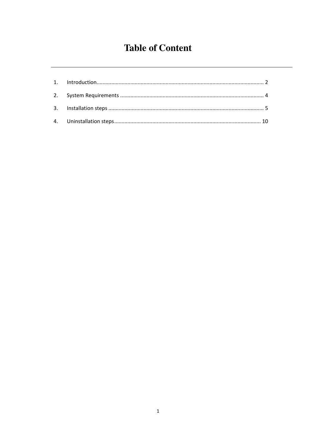## **Table of Content**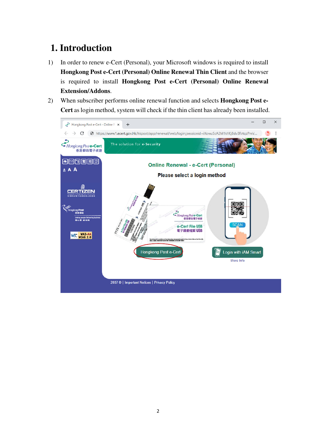#### **1. Introduction**

- 1) In order to renew e-Cert (Personal), your Microsoft windows is required to install **Hongkong Post e-Cert (Personal) Online Renewal Thin Client** and the browser is required to install **Hongkong Post e-Cert (Personal) Online Renewal Extension/Addons**.
- 2) When subscriber performs online renewal function and selects **Hongkong Post e-Cert** as login method, system will check if the thin client has already been installed.

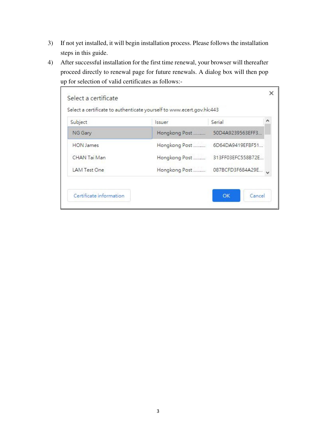- 3) If not yet installed, it will begin installation process. Please follows the installation steps in this guide.
- 4) After successful installation for the first time renewal, your browser will thereafter proceed directly to renewal page for future renewals. A dialog box will then pop up for selection of valid certificates as follows:-

| Subject          | <b>ssuer</b>  | Serial            |  |
|------------------|---------------|-------------------|--|
| NG Gary          | Hongkong Post | 50D4A9239563EFF3  |  |
| <b>HON</b> James | Hongkong Post | 6D64DA9419EFBF51  |  |
| CHAN Tai Man     | Hongkong Post | 313FF03EFC558B72E |  |
| LAM Test One     | Hongkong Post | 087BCFD3F684A29E  |  |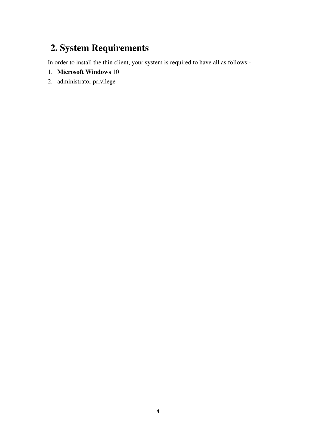## **2. System Requirements**

In order to install the thin client, your system is required to have all as follows:-

- 1. **Microsoft Windows** 10
- 2. administrator privilege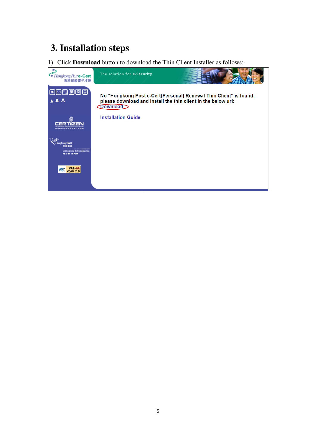### **3. Installation steps**

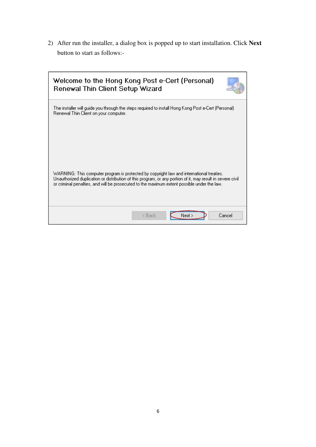2) After run the installer, a dialog box is popped up to start installation. Click **Next** button to start as follows:-

| Welcome to the Hong Kong Post e-Cert (Personal)<br>Renewal Thin Client Setup Wizard                                                                                                                                                                                                                   |                  |        |
|-------------------------------------------------------------------------------------------------------------------------------------------------------------------------------------------------------------------------------------------------------------------------------------------------------|------------------|--------|
| The installer will guide you through the steps required to install Hong Kong Post e-Cert (Personal)<br>Renewal Thin Client on your computer.                                                                                                                                                          |                  |        |
| WARNING: This computer program is protected by copyright law and international treaties.<br>Unauthorized duplication or distribution of this program, or any portion of it, may result in severe civil<br>or criminal penalties, and will be prosecuted to the maximum extent possible under the law. | < Back<br>Next > | Cancel |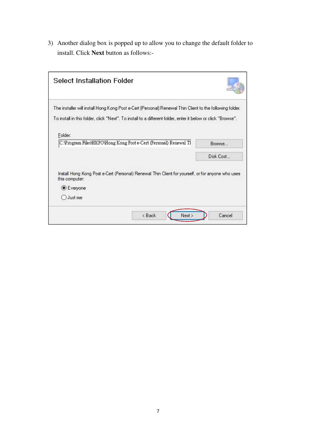3) Another dialog box is popped up to allow you to change the default folder to install. Click **Next** button as follows:-

| <b>Select Installation Folder</b>                                                                                                                                                                                        |           |
|--------------------------------------------------------------------------------------------------------------------------------------------------------------------------------------------------------------------------|-----------|
| The installer will install Hong Kong Post e-Cert (Personal) Renewal Thin Client to the following folder.<br>To install in this folder, click "Next". To install to a different folder, enter it below or click "Browse". |           |
| Folder:<br>C:\Program Files\HKPO\Hong Kong Post e-Cert (Personal) Renewal Tl                                                                                                                                             | Browse    |
|                                                                                                                                                                                                                          | Disk Cost |
| Install Hong Kong Post e-Cert (Personal) Renewal Thin Client for yourself, or for anyone who uses<br>this computer:                                                                                                      |           |
| <b>●</b> Everyone                                                                                                                                                                                                        |           |
| Just me                                                                                                                                                                                                                  |           |
| < Back<br>Next >                                                                                                                                                                                                         | Cancel    |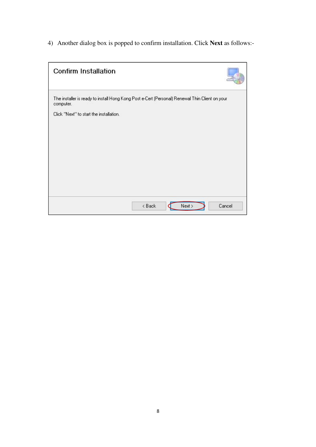4) Another dialog box is popped to confirm installation. Click **Next** as follows:-

| <b>Confirm Installation</b>                                                                                 |          |      |        |
|-------------------------------------------------------------------------------------------------------------|----------|------|--------|
| The installer is ready to install Hong Kong Post e-Cert (Personal) Renewal Thin Client on your<br>computer. |          |      |        |
| Click "Next" to start the installation.                                                                     |          |      |        |
|                                                                                                             |          |      |        |
|                                                                                                             |          |      |        |
|                                                                                                             |          |      |        |
|                                                                                                             |          |      |        |
|                                                                                                             |          |      |        |
|                                                                                                             |          |      |        |
|                                                                                                             | $8$ Back | Next | Cancel |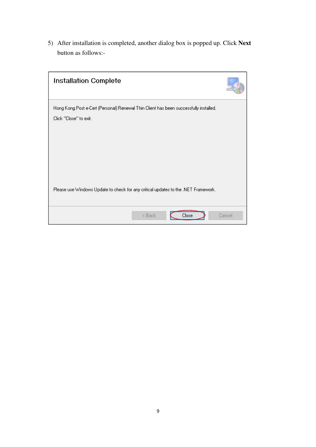5) After installation is completed, another dialog box is popped up. Click **Next** button as follows:-

| Installation Complete                                                                                           |        |       |        |
|-----------------------------------------------------------------------------------------------------------------|--------|-------|--------|
| Hong Kong Post e-Cert (Personal) Renewal Thin Client has been successfully installed.<br>Click "Close" to exit. |        |       |        |
|                                                                                                                 |        |       |        |
| Please use Windows Update to check for any critical updates to the .NET Framework.                              |        |       |        |
|                                                                                                                 | < Back | Close | Cancel |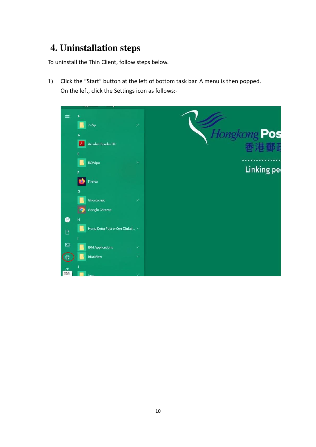## **4. Uninstallation steps**

To uninstall the Thin Client, follow steps below.

1) Click the "Start" button at the left of bottom task bar. A menu is then popped. On the left, click the Settings icon as follows:-

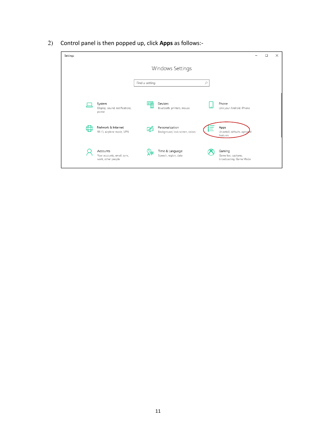- Settings  $\frac{1}{2}$  $\Box$  $\times$ Windows Settings Find a setting  $\varphi$ Ep **System**<br>Display, sound, notifications,<br>power Devices  $\Box$ Phone 旦 Bluetooth, printers, mouse Link your Android, iPhone Apps<br>Uninstall, defaults, option Network & Internet  $\mathbb{Z}$ Personalization E ⊕ Wi-Fi, airplane mode, VPN Background, lock screen, colors Gaming C<sub>+</sub> Time & Language<br>A字 Speech region date  $\beta$ Accounts  $\bm{\varnothing}$ Your accounts, email, sync,<br>work, other people Gammg<br>Game bar, captures,<br>broadcasting, Game Mode Speech, region, date
- 2) Control panel is then popped up, click Apps as follows:-